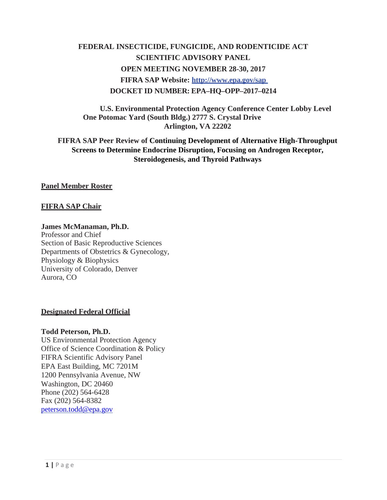# **FEDERAL INSECTICIDE, FUNGICIDE, AND RODENTICIDE ACT SCIENTIFIC ADVISORY PANEL OPEN MEETING NOVEMBER 28-30, 2017 FIFRA SAP Website:<http://www.epa.gov/sap> DOCKET ID NUMBER: EPA–HQ–OPP–2017–0214**

**U.S. Environmental Protection Agency Conference Center Lobby Level One Potomac Yard (South Bldg.) 2777 S. Crystal Drive Arlington, VA 22202**

**FIFRA SAP Peer Review of Continuing Development of Alternative High-Throughput Screens to Determine Endocrine Disruption, Focusing on Androgen Receptor, Steroidogenesis, and Thyroid Pathways**

**Panel Member Roster**

### **FIFRA SAP Chair**

#### **James McManaman, Ph.D.**

Professor and Chief Section of Basic Reproductive Sciences Departments of Obstetrics & Gynecology, Physiology & Biophysics University of Colorado, Denver Aurora, CO

### **Designated Federal Official**

#### **Todd Peterson, Ph.D.**

US Environmental Protection Agency Office of Science Coordination & Policy FIFRA Scientific Advisory Panel EPA East Building, MC 7201M 1200 Pennsylvania Avenue, NW Washington, DC 20460 Phone (202) 564-6428 Fax (202) 564-8382 [peterson.todd@epa.gov](mailto:peterson.todd@epa.gov)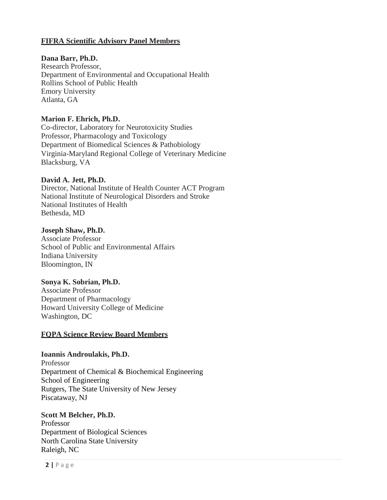# **FIFRA Scientific Advisory Panel Members**

## **Dana Barr, Ph.D.**

Research Professor, Department of Environmental and Occupational Health Rollins School of Public Health Emory University Atlanta, GA

### **Marion F. Ehrich, Ph.D.**

Co-director, Laboratory for Neurotoxicity Studies Professor, Pharmacology and Toxicology Department of Biomedical Sciences & Pathobiology Virginia-Maryland Regional College of Veterinary Medicine Blacksburg, VA

### **David A. Jett, Ph.D.**

Director, National Institute of Health Counter ACT Program National Institute of Neurological Disorders and Stroke National Institutes of Health Bethesda, MD

# **Joseph Shaw, Ph.D.**

Associate Professor School of Public and Environmental Affairs Indiana University Bloomington, IN

# **Sonya K. Sobrian, Ph.D.**

Associate Professor Department of Pharmacology Howard University College of Medicine Washington, DC

### **FQPA Science Review Board Members**

# **Ioannis Androulakis, Ph.D.**

Professor Department of Chemical & Biochemical Engineering School of Engineering Rutgers, The State University of New Jersey Piscataway, NJ

### **Scott M Belcher, Ph.D.**

Professor Department of Biological Sciences North Carolina State University Raleigh, NC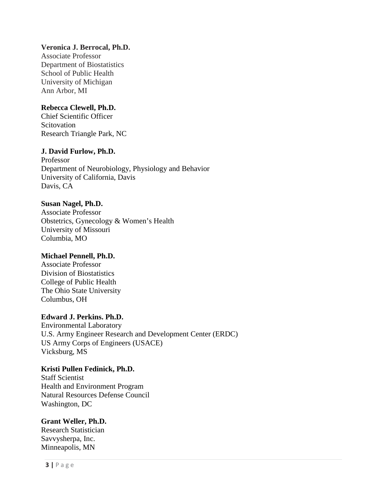# **Veronica J. Berrocal, Ph.D.**

Associate Professor Department of Biostatistics School of Public Health University of Michigan Ann Arbor, MI

# **Rebecca Clewell, Ph.D.**

Chief Scientific Officer **Scitovation** Research Triangle Park, NC

### **J. David Furlow, Ph.D.**

Professor Department of Neurobiology, Physiology and Behavior University of California, Davis Davis, CA

### **Susan Nagel, Ph.D.**

Associate Professor Obstetrics, Gynecology & Women's Health University of Missouri Columbia, MO

### **Michael Pennell, Ph.D.**

Associate Professor Division of Biostatistics College of Public Health The Ohio State University Columbus, OH

### **Edward J. Perkins. Ph.D.**

Environmental Laboratory U.S. Army Engineer Research and Development Center (ERDC) US Army Corps of Engineers (USACE) Vicksburg, MS

# **Kristi Pullen Fedinick, Ph.D.**

Staff Scientist Health and Environment Program Natural Resources Defense Council Washington, DC

### **Grant Weller, Ph.D.**

Research Statistician Savvysherpa, Inc. Minneapolis, MN